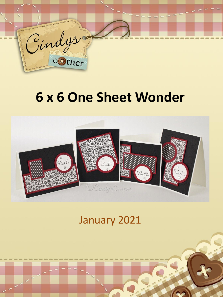

# **6 x 6 One Sheet Wonder**



# January 2021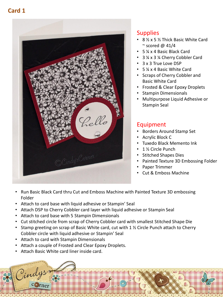# **Card 1**



#### **Supplies**

- 8 ½ x 5 ½ Thick Basic White Card  $\sim$  scored @ 41/4
- 5 ¼ x 4 Basic Black Card
- 3 ¼ x 3 ¼ Cherry Cobbler Card
- 3 x 3 True Love DSP
- 5 ¼ x 4 Basic White Card
- Scraps of Cherry Cobbler and Basic White Card
- Frosted & Clear Epoxy Droplets
- Stampin Dimensionals
- Multipurpose Liquid Adhesive or Stampin Seal

- Borders Around Stamp Set
- Acrylic Block C
- Tuxedo Black Memento Ink
- 1 ½ Circle Punch
- Stitched Shapes Dies
- Painted Texture 3D Embossing Folder
- Paper Trimmer
- Cut & Emboss Machine
- Run Basic Black Card thru Cut and Emboss Machine with Painted Texture 3D embossing Folder
- Attach to card base with liquid adhesive or Stampin' Seal
- Attach DSP to Cherry Cobbler card layer with liquid adhesive or Stampin Seal
- Attach to card base with 5 Stampin Dimensionals
- Cut stitched circle from scrap of Cherry Cobbler card with smallest Stitched Shape Die
- Stamp greeting on scrap of Basic White card, cut with 1 % Circle Punch attach to Cherry Cobbler circle with liquid adhesive or Stampin' Seal
- Attach to card with Stampin Dimensionals
- Attach a couple of Frosted and Clear Epoxy Droplets.
- Attach Basic White card liner inside card.

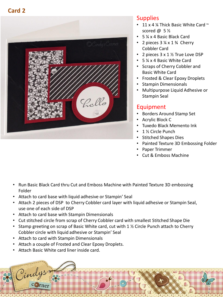

#### **Supplies**

- 11 x 4  $\frac{1}{4}$  Thick Basic White Card  $\sim$ scored  $\omega$  5  $\frac{1}{2}$
- 5 ¼ x 4 Basic Black Card
- 2 pieces  $3\frac{1}{4} \times 1\frac{3}{4}$  Cherry Cobbler Card
- 2 pieces 3 x 1 1/2 True Love DSP
- 5 ¼ x 4 Basic White Card
- Scraps of Cherry Cobbler and Basic White Card
- Frosted & Clear Epoxy Droplets
- Stampin Dimensionals
- Multipurpose Liquid Adhesive or Stampin Seal

- Borders Around Stamp Set
- Acrylic Block C
- Tuxedo Black Memento Ink
- 1 ½ Circle Punch
- Stitched Shapes Dies
- Painted Texture 3D Embossing Folder
- Paper Trimmer
- Cut & Emboss Machine
- Run Basic Black Card thru Cut and Emboss Machine with Painted Texture 3D embossing Folder
- Attach to card base with liquid adhesive or Stampin' Seal
- Attach 2 pieces of DSP to Cherry Cobbler card layer with liquid adhesive or Stampin Seal, use one of each side of DSP
- Attach to card base with Stampin Dimensionals
- Cut stitched circle from scrap of Cherry Cobbler card with smallest Stitched Shape Die
- Stamp greeting on scrap of Basic White card, cut with 1 % Circle Punch attach to Cherry Cobbler circle with liquid adhesive or Stampin' Seal
- Attach to card with Stampin Dimensionals
- Attach a couple of Frosted and Clear Epoxy Droplets.
- Attach Basic White card liner inside card.

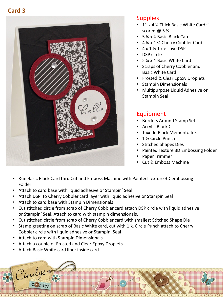

#### **Supplies**

- 11 x 4  $\frac{1}{4}$  Thick Basic White Card  $\sim$ scored @ 5 ½
- 5 ¼ x 4 Basic Black Card
- 4 ¼ x 1 ¾ Cherry Cobbler Card
- 4 x 1 ½ True Love DSP
- DSP circle
- 5 ¼ x 4 Basic White Card
- Scraps of Cherry Cobbler and Basic White Card
- Frosted & Clear Epoxy Droplets
- Stampin Dimensionals
- Multipurpose Liquid Adhesive or Stampin Seal

- Borders Around Stamp Set
- Acrylic Block C
- Tuxedo Black Memento Ink
- 1 ½ Circle Punch
- Stitched Shapes Dies
- Painted Texture 3D Embossing Folder
- Paper Trimmer
- Cut & Emboss Machine
- Run Basic Black Card thru Cut and Emboss Machine with Painted Texture 3D embossing Folder
- Attach to card base with liquid adhesive or Stampin' Seal
- Attach DSP to Cherry Cobbler card layer with liquid adhesive or Stampin Seal
- Attach to card base with Stampin Dimensionals
- Cut stitched circle from scrap of Cherry Cobbler card attach DSP circle with liquid adhesive or Stampin' Seal. Attach to card with stampin dimensionals.
- Cut stitched circle from scrap of Cherry Cobbler card with smallest Stitched Shape Die
- Stamp greeting on scrap of Basic White card, cut with 1 % Circle Punch attach to Cherry Cobbler circle with liquid adhesive or Stampin' Seal
- Attach to card with Stampin Dimensionals
- Attach a couple of Frosted and Clear Epoxy Droplets.
- Attach Basic White card liner inside card.

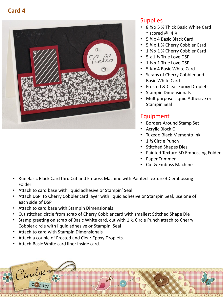

#### **Supplies**

- 8 ½ x 5 ½ Thick Basic White Card ~ scored @  $4\frac{1}{4}$
- 5 ¼ x 4 Basic Black Card
- 5 ¼ x 1 ¾ Cherry Cobbler Card
- 1 3⁄4 x 1 ¼ Cherry Cobbler Card
- 5 x 1 ½ True Love DSP
- 1 ½ x 1 True Love DSP
- 5 ¼ x 4 Basic White Card
- Scraps of Cherry Cobbler and Basic White Card
- Frosted & Clear Epoxy Droplets
- Stampin Dimensionals
- Multipurpose Liquid Adhesive or Stampin Seal

- Borders Around Stamp Set
- Acrylic Block C
- Tuxedo Black Memento Ink
- 1 ½ Circle Punch
- Stitched Shapes Dies
- Painted Texture 3D Embossing Folder
- Paper Trimmer
- Cut & Emboss Machine
- Run Basic Black Card thru Cut and Emboss Machine with Painted Texture 3D embossing Folder
- Attach to card base with liquid adhesive or Stampin' Seal
- Attach DSP to Cherry Cobbler card layer with liquid adhesive or Stampin Seal, use one of each side of DSP
- Attach to card base with Stampin Dimensionals
- Cut stitched circle from scrap of Cherry Cobbler card with smallest Stitched Shape Die
- Stamp greeting on scrap of Basic White card, cut with 1 % Circle Punch attach to Cherry Cobbler circle with liquid adhesive or Stampin' Seal
- Attach to card with Stampin Dimensionals
- Attach a couple of Frosted and Clear Epoxy Droplets.
- Attach Basic White card liner inside card.